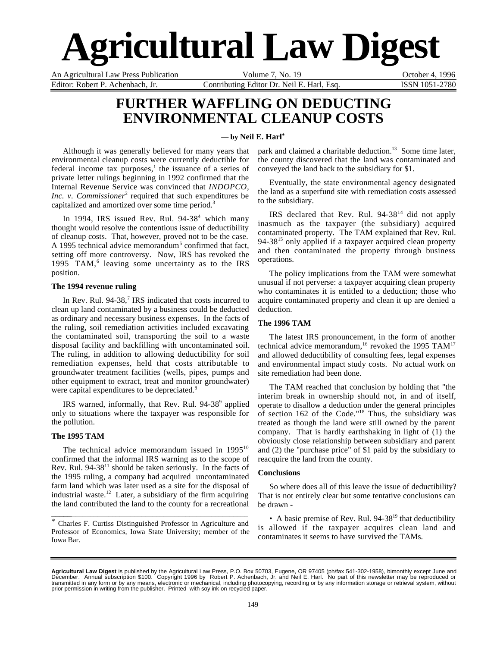# **Agricultural Law Digest**

An Agricultural Law Press Publication Volume 7, No. 19 Cotober 4, 1996 Editor: Robert P. Achenbach, Jr. Contributing Editor Dr. Neil E. Harl, Esq. ISSN 1051-2780

## **FURTHER WAFFLING ON DEDUCTING ENVIRONMENTAL CLEANUP COSTS**

#### **— by Neil E. Harl\***

Although it was generally believed for many years that environmental cleanup costs were currently deductible for federal income tax purposes,<sup>1</sup> the issuance of a series of private letter rulings beginning in 1992 confirmed that the Internal Revenue Service was convinced that *INDOPCO, Inc. v. Commissioner*<sup>2</sup> required that such expenditures be capitalized and amortized over some time period.3

In 1994, IRS issued Rev. Rul.  $94-38^4$  which many thought would resolve the contentious issue of deductibility of cleanup costs. That, however, proved not to be the case. A 1995 technical advice memorandum<sup>5</sup> confirmed that fact, setting off more controversy. Now, IRS has revoked the 1995 TAM,<sup>6</sup> leaving some uncertainty as to the IRS position.

#### **The 1994 revenue ruling**

In Rev. Rul. 94-38,<sup>7</sup> IRS indicated that costs incurred to clean up land contaminated by a business could be deducted as ordinary and necessary business expenses. In the facts of the ruling, soil remediation activities included excavating the contaminated soil, transporting the soil to a waste disposal facility and backfilling with uncontaminated soil. The ruling, in addition to allowing deductibility for soil remediation expenses, held that costs attributable to groundwater treatment facilities (wells, pipes, pumps and other equipment to extract, treat and monitor groundwater) were capital expenditures to be depreciated.<sup>8</sup>

IRS warned, informally, that Rev. Rul. 94-38<sup>9</sup> applied only to situations where the taxpayer was responsible for the pollution.

#### **The 1995 TAM**

The technical advice memorandum issued in  $1995^{10}$ confirmed that the informal IRS warning as to the scope of Rev. Rul.  $94-38<sup>11</sup>$  should be taken seriously. In the facts of the 1995 ruling, a company had acquired uncontaminated farm land which was later used as a site for the disposal of industrial waste.<sup>12</sup> Later, a subsidiary of the firm acquiring the land contributed the land to the county for a recreational

\* Charles F. Curtiss Distinguished Professor in Agriculture and Professor of Economics, Iowa State University; member of the Iowa Bar.

\_\_\_\_\_\_\_\_\_\_\_\_\_\_\_\_\_\_\_\_\_\_\_\_\_\_\_\_\_\_\_\_\_\_\_\_\_\_\_\_\_\_\_\_\_\_\_\_\_\_\_\_\_

park and claimed a charitable deduction.<sup>13</sup> Some time later, the county discovered that the land was contaminated and conveyed the land back to the subsidiary for \$1.

Eventually, the state environmental agency designated the land as a superfund site with remediation costs assessed to the subsidiary.

IRS declared that Rev. Rul. 94-3814 did not apply inasmuch as the taxpayer (the subsidiary) acquired contaminated property. The TAM explained that Rev. Rul. 94-38<sup>15</sup> only applied if a taxpayer acquired clean property and then contaminated the property through business operations.

The policy implications from the TAM were somewhat unusual if not perverse: a taxpayer acquiring clean property who contaminates it is entitled to a deduction; those who acquire contaminated property and clean it up are denied a deduction.

#### **The 1996 TAM**

The latest IRS pronouncement, in the form of another technical advice memorandum,<sup>16</sup> revoked the 1995 TAM<sup>17</sup> and allowed deductibility of consulting fees, legal expenses and environmental impact study costs. No actual work on site remediation had been done.

The TAM reached that conclusion by holding that "the interim break in ownership should not, in and of itself, operate to disallow a deduction under the general principles of section 162 of the Code."18 Thus, the subsidiary was treated as though the land were still owned by the parent company. That is hardly earthshaking in light of (1) the obviously close relationship between subsidiary and parent and (2) the "purchase price" of \$1 paid by the subsidiary to reacquire the land from the county.

#### **Conclusions**

So where does all of this leave the issue of deductibility? That is not entirely clear but some tentative conclusions can be drawn -

• A basic premise of Rev. Rul.  $94-38^{19}$  that deductibility is allowed if the taxpayer acquires clean land and contaminates it seems to have survived the TAMs.

**Agricultural Law Digest** is published by the Agricultural Law Press, P.O. Box 50703, Eugene, OR 97405 (ph/fax 541-302-1958), bimonthly except June and<br>December. Annual subscription \$100. Copyright 1996 by Robert P. Achenb transmitted in any form or by any means, electronic or mechanical, including photocopying, recording or by any information storage or retrieval system, without<br>prior permission in writing from the publisher. Printed with